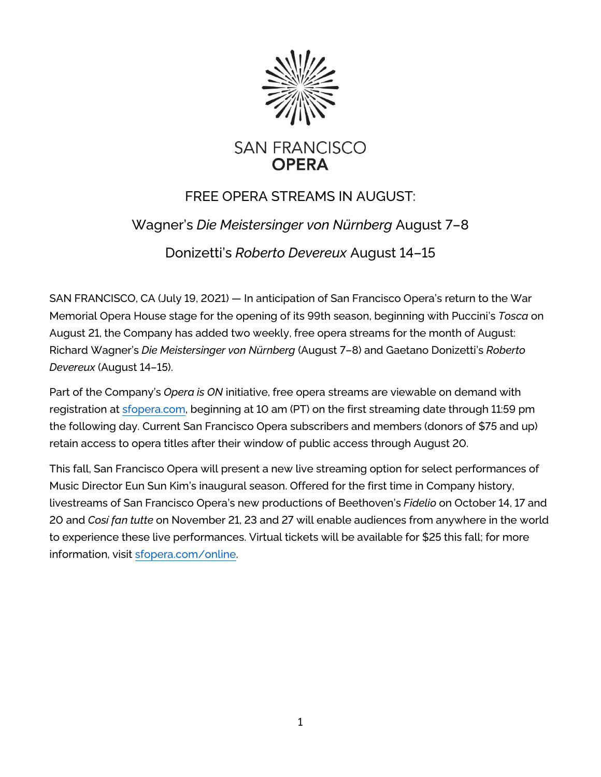

## FREE OPERA STREAMS IN AUGUST:

## Wagner's *Die Meistersinger von Nürnberg* August 7–8

Donizetti's *Roberto Devereux* August 14–15

SAN FRANCISCO, CA (July 19, 2021) — In anticipation of San Francisco Opera's return to the War Memorial Opera House stage for the opening of its 99th season, beginning with Puccini's *Tosca* on August 21, the Company has added two weekly, free opera streams for the month of August: Richard Wagner's *Die Meistersinger von Nürnberg* (August 7–8) and Gaetano Donizetti's *Roberto Devereux* (August 14–15).

Part of the Company's *Opera is ON* initiative, free opera streams are viewable on demand with registration at [sfopera.com,](https://www.sfopera.com/) beginning at 10 am (PT) on the first streaming date through 11:59 pm the following day. Current San Francisco Opera subscribers and members (donors of \$75 and up) retain access to opera titles after their window of public access through August 20.

This fall, San Francisco Opera will present a new live streaming option for select performances of Music Director Eun Sun Kim's inaugural season. Offered for the first time in Company history, livestreams of San Francisco Opera's new productions of Beethoven's *Fidelio* on October 14, 17 and 20 and *Così fan tutte* on November 21, 23 and 27 will enable audiences from anywhere in the world to experience these live performances. Virtual tickets will be available for \$25 this fall; for more information, visit [sfopera.com/online.](https://www.sfopera.com/online/)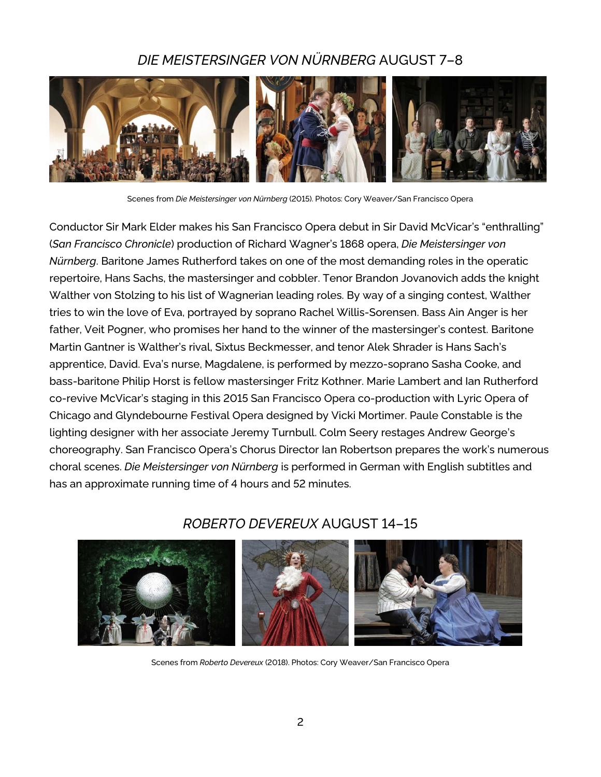## *DIE MEISTERSINGER VON NÜRNBERG* AUGUST 7–8



Scenes from *Die Meistersinger von Nürnberg* (2015). Photos: Cory Weaver/San Francisco Opera

Conductor Sir Mark Elder makes his San Francisco Opera debut in Sir David McVicar's "enthralling" (*San Francisco Chronicle*) production of Richard Wagner's 1868 opera, *Die Meistersinger von Nürnberg*. Baritone James Rutherford takes on one of the most demanding roles in the operatic repertoire, Hans Sachs, the mastersinger and cobbler. Tenor Brandon Jovanovich adds the knight Walther von Stolzing to his list of Wagnerian leading roles. By way of a singing contest, Walther tries to win the love of Eva, portrayed by soprano Rachel Willis-Sorensen. Bass Ain Anger is her father, Veit Pogner, who promises her hand to the winner of the mastersinger's contest. Baritone Martin Gantner is Walther's rival, Sixtus Beckmesser, and tenor Alek Shrader is Hans Sach's apprentice, David. Eva's nurse, Magdalene, is performed by mezzo-soprano Sasha Cooke, and bass-baritone Philip Horst is fellow mastersinger Fritz Kothner. Marie Lambert and Ian Rutherford co-revive McVicar's staging in this 2015 San Francisco Opera co-production with Lyric Opera of Chicago and Glyndebourne Festival Opera designed by Vicki Mortimer. Paule Constable is the lighting designer with her associate Jeremy Turnbull. Colm Seery restages Andrew George's choreography. San Francisco Opera's Chorus Director Ian Robertson prepares the work's numerous choral scenes. *Die Meistersinger von Nürnberg* is performed in German with English subtitles and has an approximate running time of 4 hours and 52 minutes.

# *ROBERTO DEVEREUX* AUGUST 14–15



Scenes from *Roberto Devereux* (2018). Photos: Cory Weaver/San Francisco Opera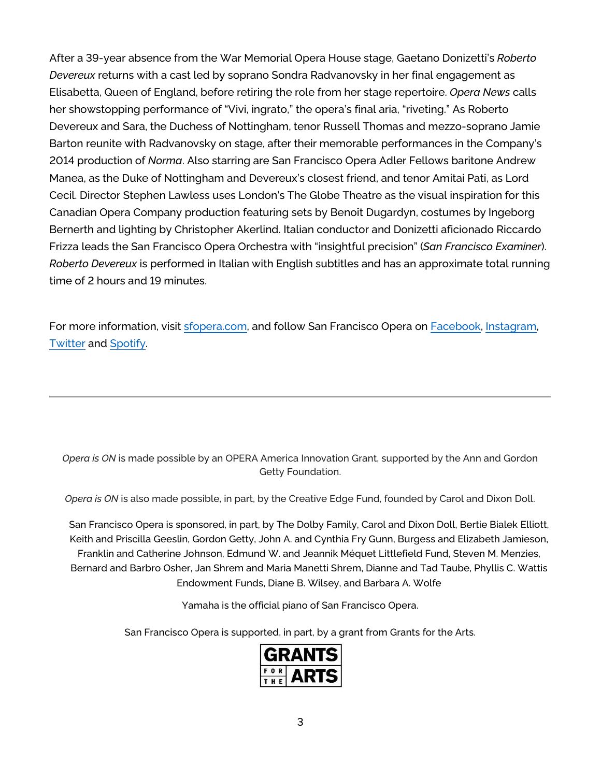After a 39-year absence from the War Memorial Opera House stage, Gaetano Donizetti's *Roberto Devereux* returns with a cast led by soprano Sondra Radvanovsky in her final engagement as Elisabetta, Queen of England, before retiring the role from her stage repertoire. *Opera News* calls her showstopping performance of "Vivi, ingrato," the opera's final aria, "riveting." As Roberto Devereux and Sara, the Duchess of Nottingham, tenor Russell Thomas and mezzo-soprano Jamie Barton reunite with Radvanovsky on stage, after their memorable performances in the Company's 2014 production of *Norma*. Also starring are San Francisco Opera Adler Fellows baritone Andrew Manea, as the Duke of Nottingham and Devereux's closest friend, and tenor Amitai Pati, as Lord Cecil. Director Stephen Lawless uses London's The Globe Theatre as the visual inspiration for this Canadian Opera Company production featuring sets by Benoît Dugardyn, costumes by Ingeborg Bernerth and lighting by Christopher Akerlind. Italian conductor and Donizetti aficionado Riccardo Frizza leads the San Francisco Opera Orchestra with "insightful precision" (*San Francisco Examiner*). *Roberto Devereux* is performed in Italian with English subtitles and has an approximate total running time of 2 hours and 19 minutes.

For more information, visit [sfopera.com,](https://www.sfopera.com/) and follow San Francisco Opera on [Facebook,](https://www.facebook.com/SFOpera/) [Instagram,](https://www.instagram.com/sfopera/) [Twitter](https://twitter.com/sfopera) and [Spotify.](https://open.spotify.com/user/xmk4cnc5kdd817w40hwx805z5?si=Ly5TMcKUS7e8vH8INTUqTA)

*Opera is ON* is made possible by an OPERA America Innovation Grant, supported by the Ann and Gordon Getty Foundation.

*Opera is ON* is also made possible, in part, by the Creative Edge Fund, founded by Carol and Dixon Doll.

San Francisco Opera is sponsored, in part, by The Dolby Family, Carol and Dixon Doll, Bertie Bialek Elliott, Keith and Priscilla Geeslin, Gordon Getty, John A. and Cynthia Fry Gunn, Burgess and Elizabeth Jamieson, Franklin and Catherine Johnson, Edmund W. and Jeannik Méquet Littlefield Fund, Steven M. Menzies, Bernard and Barbro Osher, Jan Shrem and Maria Manetti Shrem, Dianne and Tad Taube, Phyllis C. Wattis Endowment Funds, Diane B. Wilsey, and Barbara A. Wolfe

Yamaha is the official piano of San Francisco Opera.

San Francisco Opera is supported, in part, by a grant from Grants for the Arts.